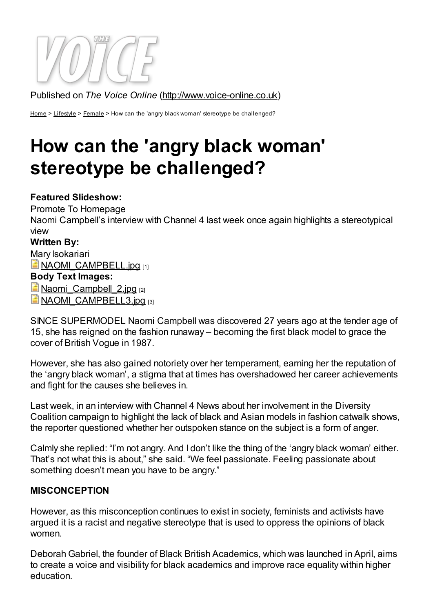

Published on The Voice Online ([http://www.voice-online.co.uk](http://www.voice-online.co.uk/))

[Home](http://www.voice-online.co.uk/) > [Lifestyle](http://www.voice-online.co.uk/lifestyle) > [Female](http://www.voice-online.co.uk/lifestyle/female) > How can the 'angry black woman' stereotype be challenged?

# How can the 'angry black woman' stereotype be challenged?

#### Featured Slideshow:

Promote To Homepage

Naomi Campbell's interview with Channel 4 last week once again highlights a stereotypical view

#### Written By:

Mary Isokariari **NAOMI CAMPBELL.jpg [1]** 

## Body Text Images:

Naomi Campbell 2.jpg [2]

**NAOMI CAMPBELL3.jpg [3]** 

SINCE SUPERMODEL Naomi Campbell was discovered 27 years ago at the tender age of 15, she has reigned on the fashion runaway – becoming the first black model to grace the cover of British Vogue in 1987.

However, she has also gained notoriety over her temperament, earning her the reputation of the 'angry black woman', a stigma that at times has overshadowed her career achievements and fight for the causes she believes in.

Last week, in an interview with Channel 4 News about her involvement in the Diversity Coalition campaign to highlight the lack of black and Asian models in fashion catwalk shows, the reporter questioned whether her outspoken stance on the subject is a form of anger.

Calmly she replied: "I'm not angry. And I don't like the thing of the 'angry black woman' either. That's not what this is about," she said. "We feel passionate. Feeling passionate about something doesn't mean you have to be angry."

#### MISCONCEPTION

However, as this misconception continues to exist in society, feminists and activists have argued it is a racist and negative stereotype that is used to oppress the opinions of black women.

Deborah Gabriel, the founder of Black British Academics, which was launched in April, aims to create a voice and visibility for black academics and improve race equality within higher education.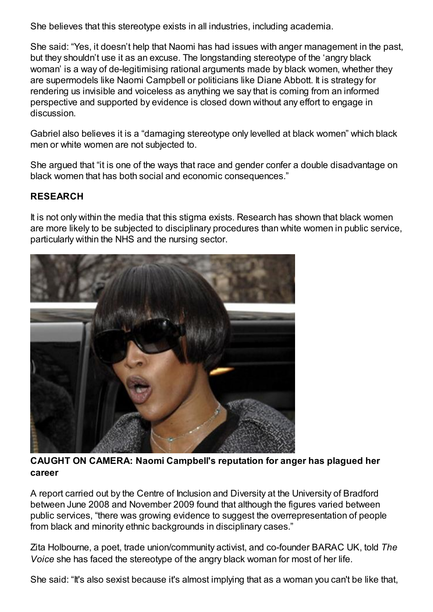She believes that this stereotype exists in all industries, including academia.

She said: "Yes, it doesn't help that Naomi has had issues with anger management in the past, but they shouldn't use it as an excuse. The longstanding stereotype of the 'angry black woman' is a way of de-legitimising rational arguments made by black women, whether they are supermodels like Naomi Campbell or politicians like Diane Abbott. It is strategy for rendering us invisible and voiceless as anything we say that is coming from an informed perspective and supported by evidence is closed down without any effort to engage in discussion.

Gabriel also believes it is a "damaging stereotype only levelled at black women" which black men or white women are not subjected to.

She argued that "it is one of the ways that race and gender confer a double disadvantage on black women that has both social and economic consequences."

### RESEARCH

It is not only within the media that this stigma exists. Research has shown that black women are more likely to be subjected to disciplinary procedures than white women in public service, particularly within the NHS and the nursing sector.



CAUGHT ON CAMERA: Naomi Campbell's reputation for anger has plagued her career

A report carried out by the Centre of Inclusion and Diversity at the University of Bradford between June 2008 and November 2009 found that although the figures varied between public services, "there was growing evidence to suggest the overrepresentation of people from black and minority ethnic backgrounds in disciplinary cases."

Zita Holbourne, a poet, trade union/community activist, and co-founder BARAC UK, told The Voice she has faced the stereotype of the angry black woman for most of her life.

She said: "It's also sexist because it's almost implying that as a woman you can't be like that,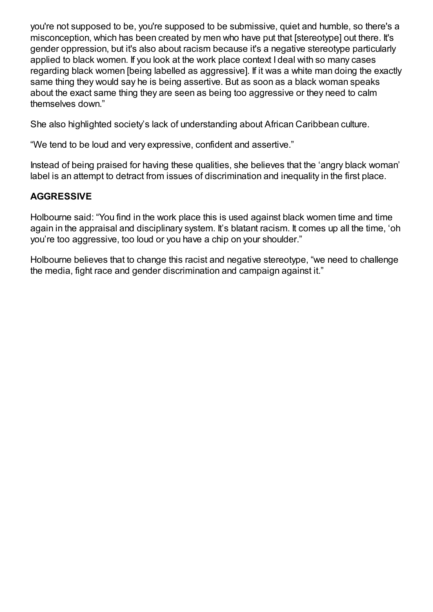you're not supposed to be, you're supposed to be submissive, quiet and humble, so there's a misconception, which has been created by men who have put that [stereotype] out there. It's gender oppression, but it's also about racism because it's a negative stereotype particularly applied to black women. If you look at the work place context I deal with so many cases regarding black women [being labelled as aggressive]. If it was a white man doing the exactly same thing they would say he is being assertive. But as soon as a black woman speaks about the exact same thing they are seen as being too aggressive or they need to calm themselves down."

She also highlighted society's lack of understanding about African Caribbean culture.

"We tend to be loud and very expressive, confident and assertive."

Instead of being praised for having these qualities, she believes that the 'angry black woman' label is an attempt to detract from issues of discrimination and inequality in the first place.

#### AGGRESSIVE

Holbourne said: "You find in the work place this is used against black women time and time again in the appraisal and disciplinary system. It's blatant racism. It comes up all the time, 'oh you're too aggressive, too loud or you have a chip on your shoulder."

Holbourne believes that to change this racist and negative stereotype, "we need to challenge the media, fight race and gender discrimination and campaign against it."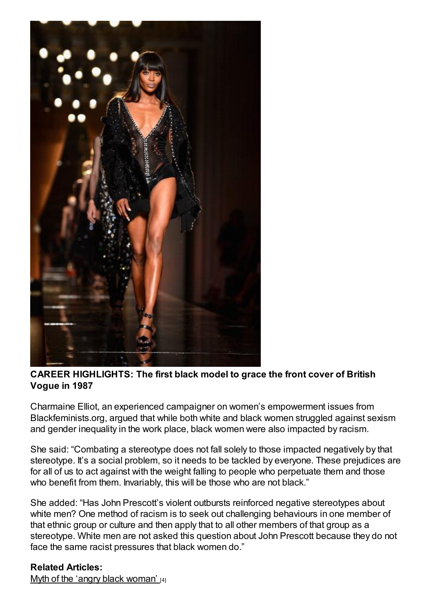

CAREER HIGHLIGHTS: The first black model to grace the front cover of British Vogue in 1987

Charmaine Elliot, an experienced campaigner on women's empowerment issues from Blackfeminists.org, argued that while both white and black women struggled against sexism and gender inequality in the work place, black women were also impacted by racism.

She said: "Combating a stereotype does not fall solely to those impacted negatively by that stereotype. It's a social problem, so it needs to be tackled by everyone. These prejudices are for all of us to act against with the weight falling to people who perpetuate them and those who benefit from them. Invariably, this will be those who are not black."

She added: "Has John Prescott's violent outbursts reinforced negative stereotypes about white men? One method of racism is to seek out challenging behaviours in one member of that ethnic group or culture and then apply that to all other members of that group as a stereotype. White men are not asked this question about John Prescott because they do not face the same racist pressures that black women do."

Related Articles:

Myth of the 'angry black [woman'](http://www.voice-online.co.uk/article/myth-%E2%80%98angry-black-woman%E2%80%99) [4]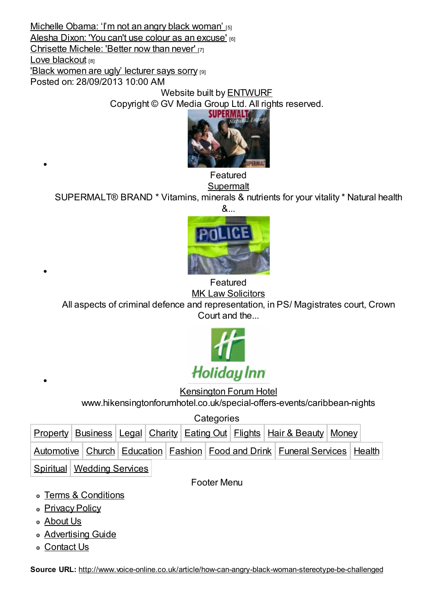[Michelle](http://www.voice-online.co.uk/article/michelle-obama-%E2%80%98i%E2%80%99m-not-angry-black-woman%E2%80%99) Obama: 'I'm not an angry black woman' [5] Alesha Dixon: 'You can't use colour as an [excuse'](http://www.voice-online.co.uk/article/alesha-dixon-you-cant-use-colour-excuse) [6] [Chrisette](http://www.voice-online.co.uk/article/chrisette-michele-better-now-never) Michele: 'Better now than never' [7] Love [blackout](http://www.voice-online.co.uk/article/love-blackout) [8] 'Black women are ugly' [lecturer](http://www.voice-online.co.uk/article/black-women-are-ugly%E2%80%99-lecturer-says-sorry) says sorry [9] Posted on: 28/09/2013 10:00 AM

Website built by [ENTWURF](http://www.entwurf.co.uk/)

Copyright © GV Media Group Ltd. All rights reserved.



Featured

#### **[Supermalt](http://www.voice-online.co.uk/classified/supermalt)**

SUPERMALT® BRAND \* Vitamins, minerals & nutrients for your vitality \* Natural health



Featured **MK Law [Solicitors](http://www.voice-online.co.uk/classified/mk-law-solicitors)** 

All aspects of criminal defence and representation, in PS/ Magistrates court, Crown Court and the...



[Kensington](http://www.voice-online.co.uk/classified/kensington-forum-hotel) Forum Hotel

www.hikensingtonforumhotel.co.uk/special-offers-events/caribbean-nights

**Categories** 

|                            |  |  |  |  |  |  |  |  | Property Business   Legal   Charity   Eating Out   Flights   Hair & Beauty   Money |                                                                            |  |  |
|----------------------------|--|--|--|--|--|--|--|--|------------------------------------------------------------------------------------|----------------------------------------------------------------------------|--|--|
|                            |  |  |  |  |  |  |  |  |                                                                                    | Automotive Church Education Fashion Food and Drink Funeral Services Health |  |  |
| Spiritual Wedding Services |  |  |  |  |  |  |  |  |                                                                                    |                                                                            |  |  |

Footer Menu

- Terms & [Conditions](http://www.voice-online.co.uk/terms-conditions)
- o [Privacy](http://www.voice-online.co.uk/privacy-policy) Policy
- [About](http://www.voice-online.co.uk/about-us) Us
- **[Advertising](http://www.voice-online.co.uk/advertising-guide) Guide**
- [Contact](http://www.voice-online.co.uk/contactus) Us

Source URL: <http://www.voice-online.co.uk/article/how-can-angry-black-woman-stereotype-be-challenged>